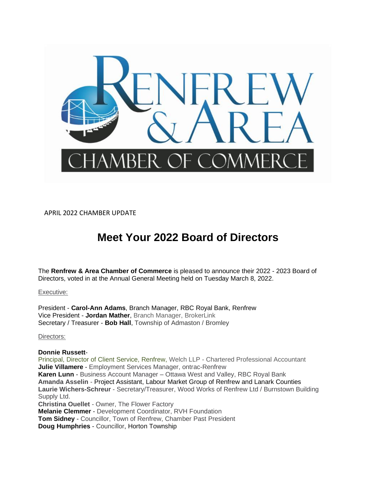

APRIL 2022 CHAMBER UPDATE

## **Meet Your 2022 Board of Directors**

The **Renfrew & Area Chamber of Commerce** is pleased to announce their 2022 - 2023 Board of Directors, voted in at the Annual General Meeting held on Tuesday March 8, 2022.

#### Executive:

President - **Carol-Ann Adams**, Branch Manager, RBC Royal Bank, Renfrew Vice President - **Jordan Mather**, Branch Manager, BrokerLink Secretary / Treasurer - **Bob Hall**, Township of Admaston / Bromley

Directors:

#### **Donnie Russett**-

Principal, Director of Client Service, Renfrew, Welch LLP - Chartered Professional Accountant **Julie Villamere** - Employment Services Manager, ontrac-Renfrew **Karen Lunn** - Business Account Manager – Ottawa West and Valley, RBC Royal Bank **Amanda Asselin** - Project Assistant, Labour Market Group of Renfrew and Lanark Counties **Laurie Wichers-Schreur** - Secretary/Treasurer, Wood Works of Renfrew Ltd / Burnstown Building Supply Ltd. **Christina Ouellet** - Owner, The Flower Factory **Melanie Clemmer** - Development Coordinator, RVH Foundation **Tom Sidney** - Councillor, Town of Renfrew, Chamber Past President **Doug Humphries** - Councillor, Horton Township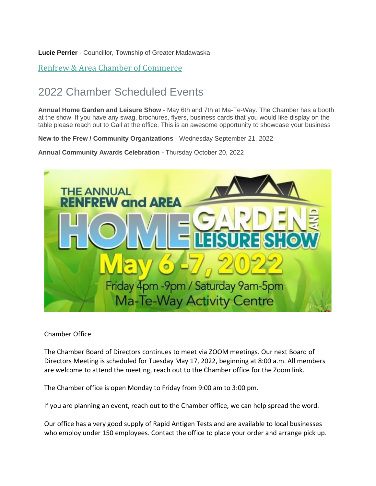**Lucie Perrier** - Councillor, Township of Greater Madawaska

Renfrew & Area Chamber of [Commerce](https://r20.rs6.net/tn.jsp?f=001sneJKeN33Acg0bSdSDr7j23ioFplgdC8cZHuGHYV9FrHldwxv54Dxr8vqhAV7l3xlq5YtkDFotR0l2qmXu006wpA-nOg6Wj2Sd4VNdJ98yNj28tJLTx8Yjsh72HaR_4nVhbdk9Fe41h9bvAq3-i4OKOxPhOpKnYB&c=AWJHF55b22eUxujmkIE9oPlSqIfs2dD46UGA6hUgMBOVzpvMrMm33w==&ch=_g5uCqbw5dMilYwP6xZE7jSX8YlISR73wZP-7k43nlwM1U-xaDwmLQ==)

# 2022 Chamber Scheduled Events

**Annual Home Garden and Leisure Show** - May 6th and 7th at Ma-Te-Way. The Chamber has a booth at the show. If you have any swag, brochures, flyers, business cards that you would like display on the table please reach out to Gail at the office. This is an awesome opportunity to showcase your business

**New to the Frew / Community Organizations** - Wednesday September 21, 2022

**Annual Community Awards Celebration -** Thursday October 20, 2022



Chamber Office

The Chamber Board of Directors continues to meet via ZOOM meetings. Our next Board of Directors Meeting is scheduled for Tuesday May 17, 2022, beginning at 8:00 a.m. All members are welcome to attend the meeting, reach out to the Chamber office for the Zoom link.

The Chamber office is open Monday to Friday from 9:00 am to 3:00 pm.

If you are planning an event, reach out to the Chamber office, we can help spread the word.

Our office has a very good supply of Rapid Antigen Tests and are available to local businesses who employ under 150 employees. Contact the office to place your order and arrange pick up.